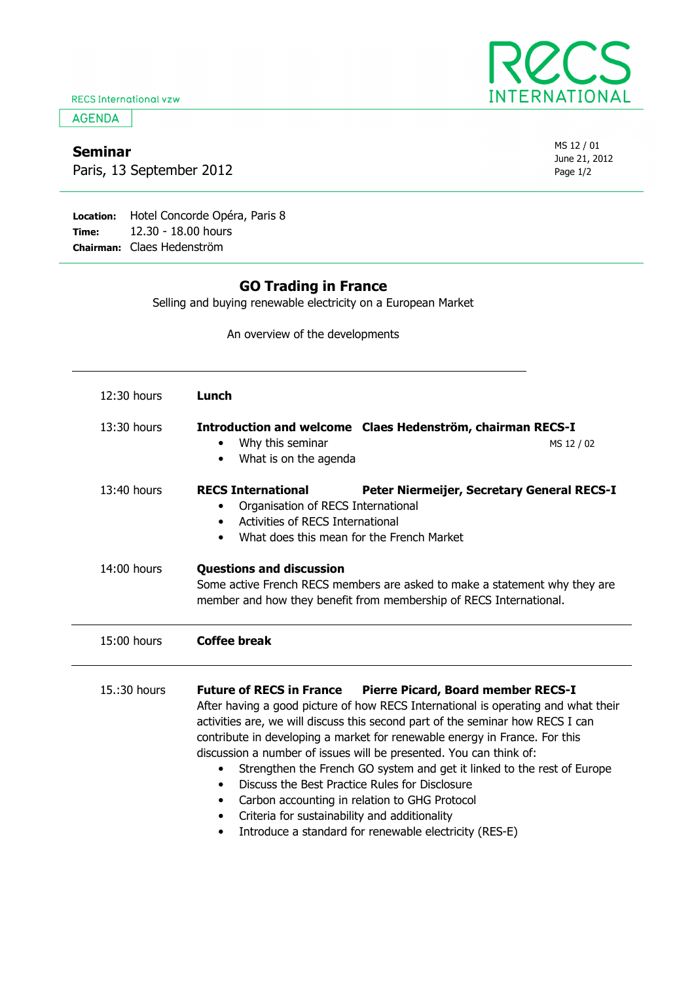**RECS International vzw** 

**AGENDA** 

## Seminar

Paris, 13 September 2012

Location: Hotel Concorde Opéra, Paris 8 Time: Chairman: Claes Hedenström 12.30 - 18.00 hours

## GO Trading in France

Selling and buying renewable electricity on a European Market

An overview of the developments

| 12:30 hours   | Lunch                                                                                                                                                                                                                                                                                                                                                                                                                                                                                                                                                                                                                                                                                                                                                     |
|---------------|-----------------------------------------------------------------------------------------------------------------------------------------------------------------------------------------------------------------------------------------------------------------------------------------------------------------------------------------------------------------------------------------------------------------------------------------------------------------------------------------------------------------------------------------------------------------------------------------------------------------------------------------------------------------------------------------------------------------------------------------------------------|
| 13:30 hours   | Introduction and welcome Claes Hedenström, chairman RECS-I<br>Why this seminar<br>MS 12 / 02<br>٠<br>What is on the agenda                                                                                                                                                                                                                                                                                                                                                                                                                                                                                                                                                                                                                                |
| 13:40 hours   | <b>RECS International</b><br>Peter Niermeijer, Secretary General RECS-I<br>Organisation of RECS International<br>٠<br>Activities of RECS International<br>$\bullet$<br>What does this mean for the French Market<br>$\bullet$                                                                                                                                                                                                                                                                                                                                                                                                                                                                                                                             |
| $14:00$ hours | <b>Questions and discussion</b><br>Some active French RECS members are asked to make a statement why they are<br>member and how they benefit from membership of RECS International.                                                                                                                                                                                                                                                                                                                                                                                                                                                                                                                                                                       |
| 15:00 hours   | <b>Coffee break</b>                                                                                                                                                                                                                                                                                                                                                                                                                                                                                                                                                                                                                                                                                                                                       |
| 15.:30 hours  | <b>Future of RECS in France</b><br><b>Pierre Picard, Board member RECS-I</b><br>After having a good picture of how RECS International is operating and what their<br>activities are, we will discuss this second part of the seminar how RECS I can<br>contribute in developing a market for renewable energy in France. For this<br>discussion a number of issues will be presented. You can think of:<br>Strengthen the French GO system and get it linked to the rest of Europe<br>$\bullet$<br>Discuss the Best Practice Rules for Disclosure<br>$\bullet$<br>Carbon accounting in relation to GHG Protocol<br>$\bullet$<br>Criteria for sustainability and additionality<br>$\bullet$<br>Introduce a standard for renewable electricity (RES-E)<br>٠ |



| MS 12 / 01    |
|---------------|
| June 21, 2012 |
| Page 1/2      |